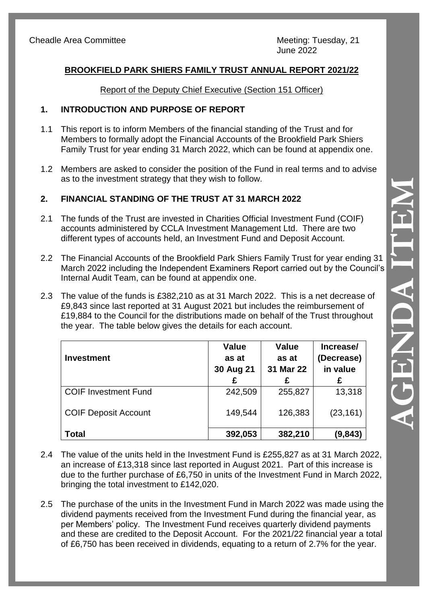# **BROOKFIELD PARK SHIERS FAMILY TRUST ANNUAL REPORT 2021/22**

#### Report of the Deputy Chief Executive (Section 151 Officer)

### **1. INTRODUCTION AND PURPOSE OF REPORT**

- 1.1 This report is to inform Members of the financial standing of the Trust and for Members to formally adopt the Financial Accounts of the Brookfield Park Shiers Family Trust for year ending 31 March 2022, which can be found at appendix one .
- 1.2 Members are asked to consider the position of the Fund in real terms and to advise as to the investment strategy that they wish to follow.

# **2. FINANCIAL STANDING OF THE TRUST AT 31 MARCH 2022**

- 2.1 The funds of the Trust are invested in Charities Official Investment Fund (COIF) accounts administered by CCLA Investment Management Ltd. There are two different types of accounts held, an Investment Fund and Deposit Account.
- 2.2 The Financial Accounts of the Brookfield Park Shiers Family Trust for year ending 31 March 2022 including the Independent Examiners Report carried out by the Council's Internal Audit Team, can be found at appendix one.
- 2.3 The value of the funds is £382,210 as at 3 1 March 2022. This is a net decrease of £9,843 since last reported at 3 1 August 2021 but includes the reimbursement of £19,884 to the Council for the distributions made on behalf of the Trust throughout the year. The table below gives the details for each account.

| <b>Investment</b>           | <b>Value</b><br>as at<br>30 Aug 21<br>£ | <b>Value</b><br>as at<br>31 Mar 22<br>£ | Increase/<br>(Decrease)<br>in value<br>£ |
|-----------------------------|-----------------------------------------|-----------------------------------------|------------------------------------------|
| <b>COIF Investment Fund</b> | 242,509                                 | 255,827                                 | 13,318                                   |
| <b>COIF Deposit Account</b> | 149,544                                 | 126,383                                 | (23, 161)                                |
| <b>Total</b>                | 392,053                                 | 382,210                                 | (9,843)                                  |

- 2.4 The value of the units held in the Investment Fund is £255,827 as at 31 March 2022, an increase of £13,318 since last reported in August 2021. Part of this increase is due to the further purchase of £6,750 in units of the Investment Fund in March 2022, bringing the total investment to £142,020.
- 2.5 The purchase of the units in the Investment Fund in March 2022 was made using the dividend payments received from the Investment Fund during the financial year, as per Members' policy. The Investment Fund receives quarterly dividend payments and these are credited to the Deposit Account. For the 2021/22 financial year a total of £6,750 has been received in dividends, equating to a return of 2.7% for the year.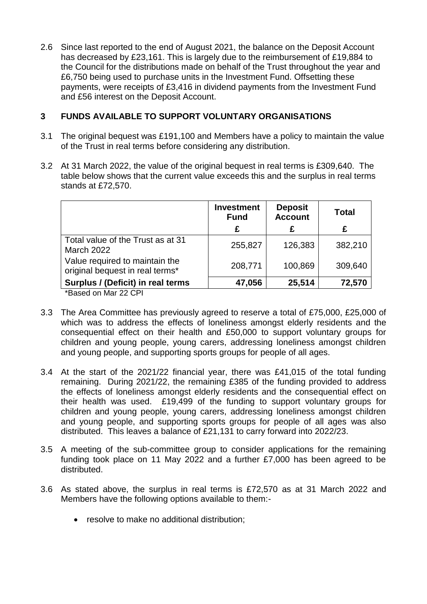2.6 Since last reported to the end of August 2021, the balance on the Deposit Account has decreased by £23,161. This is largely due to the reimbursement of £19,884 to the Council for the distributions made on behalf of the Trust throughout the year and £6,750 being used to purchase units in the Investment Fund. Offsetting these payments, were receipts of £3,416 in dividend payments from the Investment Fund and £56 interest on the Deposit Account.

### **3 FUNDS AVAILABLE TO SUPPORT VOLUNTARY ORGANISATIONS**

- 3.1 The original bequest was £191,100 and Members have a policy to maintain the value of the Trust in real terms before considering any distribution.
- 3.2 At 31 March 2022, the value of the original bequest in real terms is £309,640. The table below shows that the current value exceeds this and the surplus in real terms stands at £72,570.

|                                                                   | <b>Investment</b><br><b>Fund</b> | <b>Deposit</b><br><b>Account</b> | <b>Total</b> |
|-------------------------------------------------------------------|----------------------------------|----------------------------------|--------------|
|                                                                   | £                                | £                                | £            |
| Total value of the Trust as at 31<br><b>March 2022</b>            | 255,827                          | 126,383                          | 382,210      |
| Value required to maintain the<br>original bequest in real terms* | 208,771                          | 100,869                          | 309,640      |
| Surplus / (Deficit) in real terms                                 | 47,056                           | 25,514                           | 72,570       |

\*Based on Mar 22 CPI

- 3.3 The Area Committee has previously agreed to reserve a total of £75,000, £25,000 of which was to address the effects of loneliness amongst elderly residents and the consequential effect on their health and £50,000 to support voluntary groups for children and young people, young carers, addressing loneliness amongst children and young people, and supporting sports groups for people of all ages.
- 3.4 At the start of the 2021/22 financial year, there was £41,015 of the total funding remaining. During 2021/22, the remaining £385 of the funding provided to address the effects of loneliness amongst elderly residents and the consequential effect on their health was used. £19,499 of the funding to support voluntary groups for children and young people, young carers, addressing loneliness amongst children and young people, and supporting sports groups for people of all ages was also distributed. This leaves a balance of £21,131 to carry forward into 2022/23.
- 3.5 A meeting of the sub-committee group to consider applications for the remaining funding took place on 11 May 2022 and a further £7,000 has been agreed to be distributed.
- 3.6 As stated above, the surplus in real terms is £72,570 as at 31 March 2022 and Members have the following options available to them:-
	- resolve to make no additional distribution;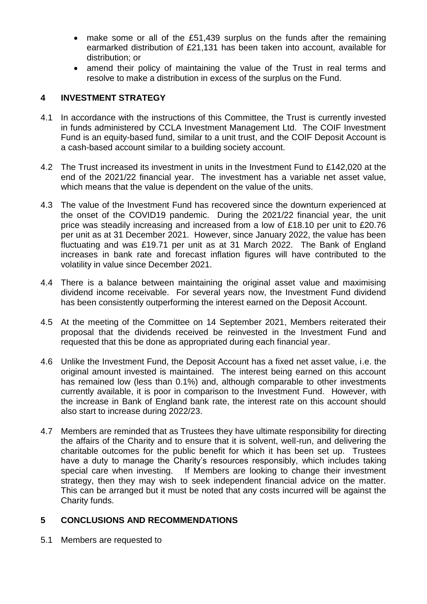- make some or all of the £51,439 surplus on the funds after the remaining earmarked distribution of £21,131 has been taken into account, available for distribution; or
- amend their policy of maintaining the value of the Trust in real terms and resolve to make a distribution in excess of the surplus on the Fund.

# **4 INVESTMENT STRATEGY**

- 4.1 In accordance with the instructions of this Committee, the Trust is currently invested in funds administered by CCLA Investment Management Ltd. The COIF Investment Fund is an equity-based fund, similar to a unit trust, and the COIF Deposit Account is a cash-based account similar to a building society account.
- 4.2 The Trust increased its investment in units in the Investment Fund to £142,020 at the end of the 2021/22 financial year. The investment has a variable net asset value, which means that the value is dependent on the value of the units.
- 4.3 The value of the Investment Fund has recovered since the downturn experienced at the onset of the COVID19 pandemic. During the 2021/22 financial year, the unit price was steadily increasing and increased from a low of £18.10 per unit to £20.76 per unit as at 31 December 2021. However, since January 2022, the value has been fluctuating and was £19.71 per unit as at 31 March 2022. The Bank of England increases in bank rate and forecast inflation figures will have contributed to the volatility in value since December 2021.
- 4.4 There is a balance between maintaining the original asset value and maximising dividend income receivable. For several years now, the Investment Fund dividend has been consistently outperforming the interest earned on the Deposit Account.
- 4.5 At the meeting of the Committee on 14 September 2021, Members reiterated their proposal that the dividends received be reinvested in the Investment Fund and requested that this be done as appropriated during each financial year.
- 4.6 Unlike the Investment Fund, the Deposit Account has a fixed net asset value, i.e. the original amount invested is maintained. The interest being earned on this account has remained low (less than 0.1%) and, although comparable to other investments currently available, it is poor in comparison to the Investment Fund. However, with the increase in Bank of England bank rate, the interest rate on this account should also start to increase during 2022/23.
- 4.7 Members are reminded that as Trustees they have ultimate responsibility for directing the affairs of the Charity and to ensure that it is solvent, well-run, and delivering the charitable outcomes for the public benefit for which it has been set up. Trustees have a duty to manage the Charity's resources responsibly, which includes taking special care when investing. If Members are looking to change their investment strategy, then they may wish to seek independent financial advice on the matter. This can be arranged but it must be noted that any costs incurred will be against the Charity funds.

### **5 CONCLUSIONS AND RECOMMENDATIONS**

5.1 Members are requested to